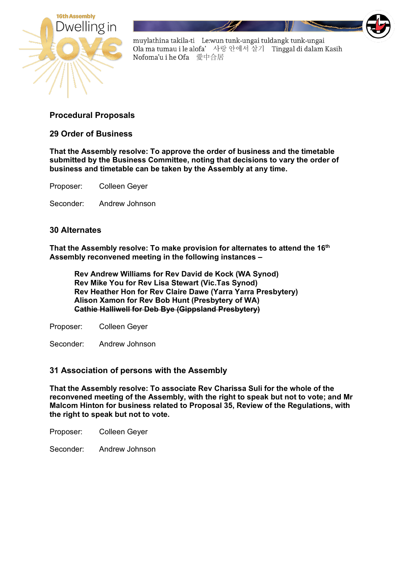

muylathina takila-ti Le:wun tunk-ungai tuldangk tunk-ungai Ola ma tumau i le alofa' 사랑 안에서 살기 Tinggal di dalam Kasih Nofoma'u i he Ofa 愛中合居

## **Procedural Proposals**

**29 Order of Business** 

**That the Assembly resolve: To approve the order of business and the timetable submitted by the Business Committee, noting that decisions to vary the order of business and timetable can be taken by the Assembly at any time.** 

Proposer: Colleen Geyer

Seconder: Andrew Johnson

## **30 Alternates**

**That the Assembly resolve: To make provision for alternates to attend the 16th Assembly reconvened meeting in the following instances –**

**Rev Andrew Williams for Rev David de Kock (WA Synod) Rev Mike You for Rev Lisa Stewart (Vic.Tas Synod) Rev Heather Hon for Rev Claire Dawe (Yarra Yarra Presbytery) Alison Xamon for Rev Bob Hunt (Presbytery of WA) Cathie Halliwell for Deb Bye (Gippsland Presbytery)**

Proposer: Colleen Geyer

Seconder: Andrew Johnson

## **31 Association of persons with the Assembly**

**That the Assembly resolve: To associate Rev Charissa Suli for the whole of the reconvened meeting of the Assembly, with the right to speak but not to vote; and Mr Malcom Hinton for business related to Proposal 35, Review of the Regulations, with the right to speak but not to vote.**

Proposer: Colleen Geyer

Seconder: Andrew Johnson